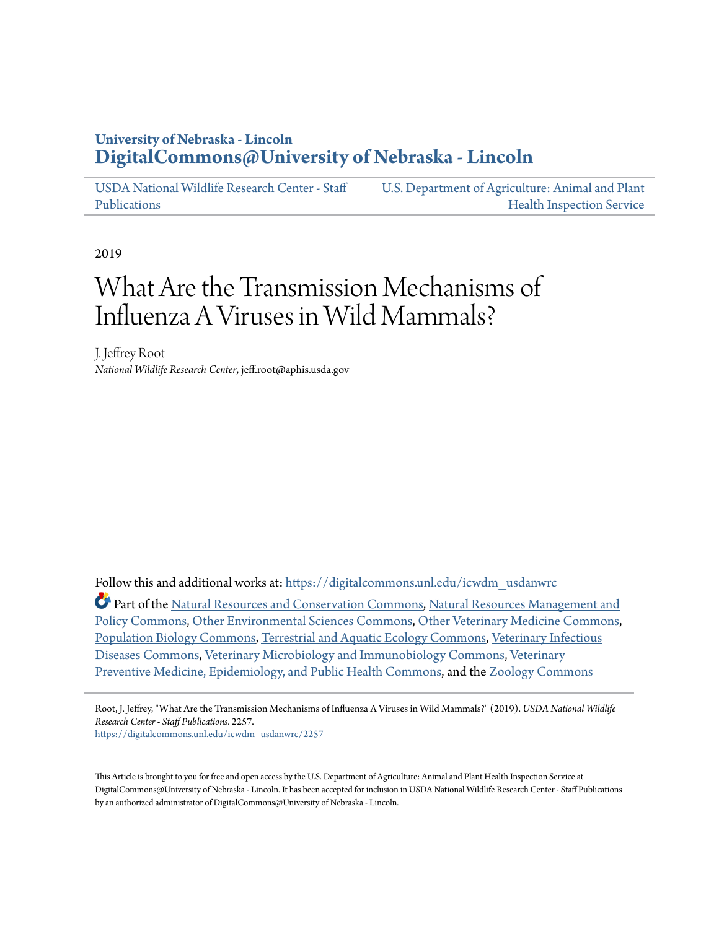### **University of Nebraska - Lincoln [DigitalCommons@University of Nebraska - Lincoln](https://digitalcommons.unl.edu?utm_source=digitalcommons.unl.edu%2Ficwdm_usdanwrc%2F2257&utm_medium=PDF&utm_campaign=PDFCoverPages)**

[USDA National Wildlife Research Center - Staff](https://digitalcommons.unl.edu/icwdm_usdanwrc?utm_source=digitalcommons.unl.edu%2Ficwdm_usdanwrc%2F2257&utm_medium=PDF&utm_campaign=PDFCoverPages) [Publications](https://digitalcommons.unl.edu/icwdm_usdanwrc?utm_source=digitalcommons.unl.edu%2Ficwdm_usdanwrc%2F2257&utm_medium=PDF&utm_campaign=PDFCoverPages) [U.S. Department of Agriculture: Animal and Plant](https://digitalcommons.unl.edu/usdaaphis?utm_source=digitalcommons.unl.edu%2Ficwdm_usdanwrc%2F2257&utm_medium=PDF&utm_campaign=PDFCoverPages) [Health Inspection Service](https://digitalcommons.unl.edu/usdaaphis?utm_source=digitalcommons.unl.edu%2Ficwdm_usdanwrc%2F2257&utm_medium=PDF&utm_campaign=PDFCoverPages)

2019

# What Are the Transmission Mechanisms of Influenza A Viruses in Wild Mammals?

J. Jeffrey Root *National Wildlife Research Center*, jeff.root@aphis.usda.gov

Follow this and additional works at: [https://digitalcommons.unl.edu/icwdm\\_usdanwrc](https://digitalcommons.unl.edu/icwdm_usdanwrc?utm_source=digitalcommons.unl.edu%2Ficwdm_usdanwrc%2F2257&utm_medium=PDF&utm_campaign=PDFCoverPages)

Part of the [Natural Resources and Conservation Commons,](http://network.bepress.com/hgg/discipline/168?utm_source=digitalcommons.unl.edu%2Ficwdm_usdanwrc%2F2257&utm_medium=PDF&utm_campaign=PDFCoverPages) [Natural Resources Management and](http://network.bepress.com/hgg/discipline/170?utm_source=digitalcommons.unl.edu%2Ficwdm_usdanwrc%2F2257&utm_medium=PDF&utm_campaign=PDFCoverPages) [Policy Commons](http://network.bepress.com/hgg/discipline/170?utm_source=digitalcommons.unl.edu%2Ficwdm_usdanwrc%2F2257&utm_medium=PDF&utm_campaign=PDFCoverPages), [Other Environmental Sciences Commons](http://network.bepress.com/hgg/discipline/173?utm_source=digitalcommons.unl.edu%2Ficwdm_usdanwrc%2F2257&utm_medium=PDF&utm_campaign=PDFCoverPages), [Other Veterinary Medicine Commons,](http://network.bepress.com/hgg/discipline/771?utm_source=digitalcommons.unl.edu%2Ficwdm_usdanwrc%2F2257&utm_medium=PDF&utm_campaign=PDFCoverPages) [Population Biology Commons,](http://network.bepress.com/hgg/discipline/19?utm_source=digitalcommons.unl.edu%2Ficwdm_usdanwrc%2F2257&utm_medium=PDF&utm_campaign=PDFCoverPages) [Terrestrial and Aquatic Ecology Commons](http://network.bepress.com/hgg/discipline/20?utm_source=digitalcommons.unl.edu%2Ficwdm_usdanwrc%2F2257&utm_medium=PDF&utm_campaign=PDFCoverPages), [Veterinary Infectious](http://network.bepress.com/hgg/discipline/770?utm_source=digitalcommons.unl.edu%2Ficwdm_usdanwrc%2F2257&utm_medium=PDF&utm_campaign=PDFCoverPages) [Diseases Commons,](http://network.bepress.com/hgg/discipline/770?utm_source=digitalcommons.unl.edu%2Ficwdm_usdanwrc%2F2257&utm_medium=PDF&utm_campaign=PDFCoverPages) [Veterinary Microbiology and Immunobiology Commons,](http://network.bepress.com/hgg/discipline/763?utm_source=digitalcommons.unl.edu%2Ficwdm_usdanwrc%2F2257&utm_medium=PDF&utm_campaign=PDFCoverPages) [Veterinary](http://network.bepress.com/hgg/discipline/769?utm_source=digitalcommons.unl.edu%2Ficwdm_usdanwrc%2F2257&utm_medium=PDF&utm_campaign=PDFCoverPages) [Preventive Medicine, Epidemiology, and Public Health Commons](http://network.bepress.com/hgg/discipline/769?utm_source=digitalcommons.unl.edu%2Ficwdm_usdanwrc%2F2257&utm_medium=PDF&utm_campaign=PDFCoverPages), and the [Zoology Commons](http://network.bepress.com/hgg/discipline/81?utm_source=digitalcommons.unl.edu%2Ficwdm_usdanwrc%2F2257&utm_medium=PDF&utm_campaign=PDFCoverPages)

Root, J. Jeffrey, "What Are the Transmission Mechanisms of Influenza A Viruses in Wild Mammals?" (2019). *USDA National Wildlife Research Center - Staff Publications*. 2257.

[https://digitalcommons.unl.edu/icwdm\\_usdanwrc/2257](https://digitalcommons.unl.edu/icwdm_usdanwrc/2257?utm_source=digitalcommons.unl.edu%2Ficwdm_usdanwrc%2F2257&utm_medium=PDF&utm_campaign=PDFCoverPages)

This Article is brought to you for free and open access by the U.S. Department of Agriculture: Animal and Plant Health Inspection Service at DigitalCommons@University of Nebraska - Lincoln. It has been accepted for inclusion in USDA National Wildlife Research Center - Staff Publications by an authorized administrator of DigitalCommons@University of Nebraska - Lincoln.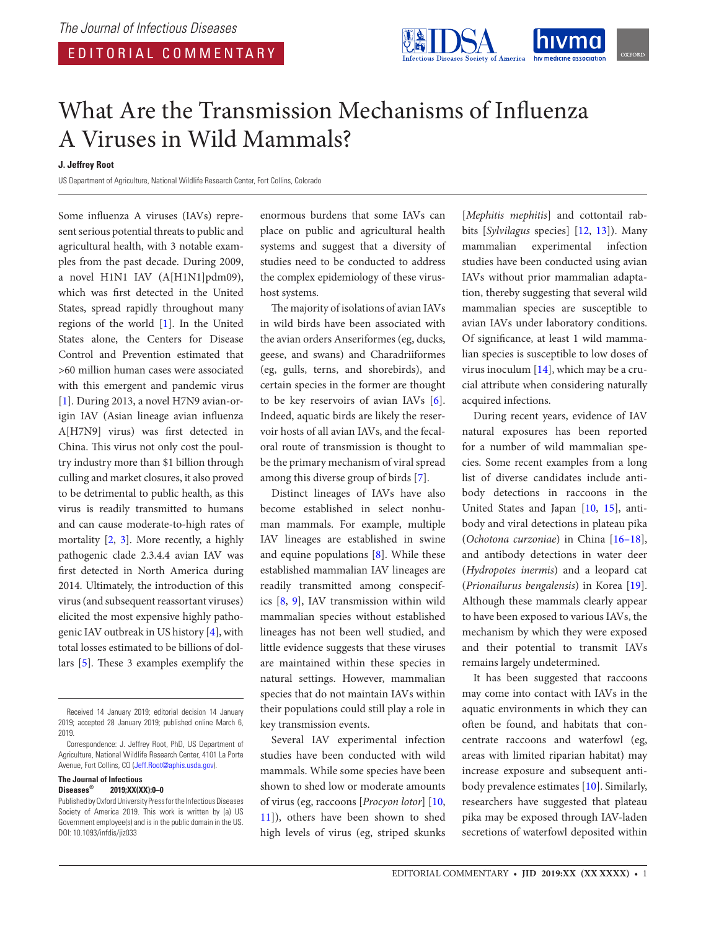

## What Are the Transmission Mechanisms of Influenza A Viruses in Wild Mammals?

#### **J. Jeffrey Root**

US Department of Agriculture, National Wildlife Research Center, Fort Collins, Colorado

Some influenza A viruses (IAVs) represent serious potential threats to public and agricultural health, with 3 notable examples from the past decade. During 2009, a novel H1N1 IAV (A[H1N1]pdm09), which was first detected in the United States, spread rapidly throughout many regions of the world [\[1\]](#page-2-0). In the United States alone, the Centers for Disease Control and Prevention estimated that >60 million human cases were associated with this emergent and pandemic virus [\[1\]](#page-2-0). During 2013, a novel H7N9 avian-origin IAV (Asian lineage avian influenza A[H7N9] virus) was first detected in China. This virus not only cost the poultry industry more than \$1 billion through culling and market closures, it also proved to be detrimental to public health, as this virus is readily transmitted to humans and can cause moderate-to-high rates of mortality [[2](#page-2-1), [3\]](#page-2-2). More recently, a highly pathogenic clade 2.3.4.4 avian IAV was first detected in North America during 2014. Ultimately, the introduction of this virus (and subsequent reassortant viruses) elicited the most expensive highly pathogenic IAV outbreak in US history [[4](#page-2-3)], with total losses estimated to be billions of dollars [[5](#page-2-4)]. These 3 examples exemplify the

#### **The Journal of Infectious Diseases® 2019;XX(XX):0–0**

enormous burdens that some IAVs can place on public and agricultural health systems and suggest that a diversity of studies need to be conducted to address the complex epidemiology of these virushost systems.

The majority of isolations of avian IAVs in wild birds have been associated with the avian orders Anseriformes (eg, ducks, geese, and swans) and Charadriiformes (eg, gulls, terns, and shorebirds), and certain species in the former are thought to be key reservoirs of avian IAVs [[6\]](#page-3-0). Indeed, aquatic birds are likely the reservoir hosts of all avian IAVs, and the fecaloral route of transmission is thought to be the primary mechanism of viral spread among this diverse group of birds [[7](#page-3-1)].

Distinct lineages of IAVs have also become established in select nonhuman mammals. For example, multiple IAV lineages are established in swine and equine populations [\[8\]](#page-3-2). While these established mammalian IAV lineages are readily transmitted among conspecifics [[8](#page-3-2), [9](#page-3-3)], IAV transmission within wild mammalian species without established lineages has not been well studied, and little evidence suggests that these viruses are maintained within these species in natural settings. However, mammalian species that do not maintain IAVs within their populations could still play a role in key transmission events.

Several IAV experimental infection studies have been conducted with wild mammals. While some species have been shown to shed low or moderate amounts of virus (eg, raccoons [*Procyon lotor*] [[10,](#page-3-4) [11](#page-3-5)]), others have been shown to shed high levels of virus (eg, striped skunks

[*Mephitis mephitis*] and cottontail rabbits [*Sylvilagus* species] [[12,](#page-3-6) [13\]](#page-3-7)). Many mammalian experimental infection studies have been conducted using avian IAVs without prior mammalian adaptation, thereby suggesting that several wild mammalian species are susceptible to avian IAVs under laboratory conditions. Of significance, at least 1 wild mammalian species is susceptible to low doses of virus inoculum [\[14](#page-3-8)], which may be a crucial attribute when considering naturally acquired infections.

During recent years, evidence of IAV natural exposures has been reported for a number of wild mammalian species. Some recent examples from a long list of diverse candidates include antibody detections in raccoons in the United States and Japan [[10,](#page-3-4) [15](#page-3-9)], antibody and viral detections in plateau pika (*Ochotona curzoniae*) in China [16–18], and antibody detections in water deer (*Hydropotes inermis*) and a leopard cat (*Prionailurus bengalensis*) in Korea [\[19](#page-3-10)]. Although these mammals clearly appear to have been exposed to various IAVs, the mechanism by which they were exposed and their potential to transmit IAVs remains largely undetermined.

It has been suggested that raccoons may come into contact with IAVs in the aquatic environments in which they can often be found, and habitats that concentrate raccoons and waterfowl (eg, areas with limited riparian habitat) may increase exposure and subsequent antibody prevalence estimates [[10\]](#page-3-4). Similarly, researchers have suggested that plateau pika may be exposed through IAV-laden secretions of waterfowl deposited within

Received 14 January 2019; editorial decision 14 January 2019; accepted 28 January 2019; published online March 6, 2019.

Correspondence: J. Jeffrey Root, PhD, US Department of Agriculture, National Wildlife Research Center, 4101 La Porte Avenue, Fort Collins, CO [\(Jeff.Root@aphis.usda.gov\)](mailto:Jeff.Root@aphis.usda.gov?subject=).

Published by Oxford University Press for the Infectious Diseases Society of America 2019. This work is written by (a) US Government employee(s) and is in the public domain in the US. DOI: 10.1093/infdis/jiz033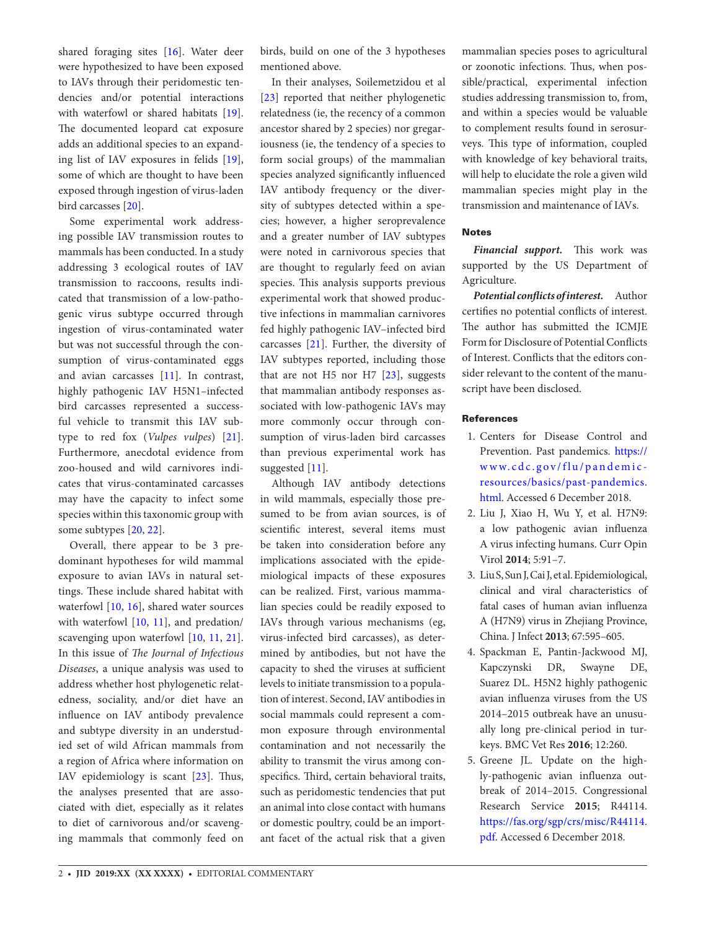shared foraging sites [[16\]](#page-3-11). Water deer were hypothesized to have been exposed to IAVs through their peridomestic tendencies and/or potential interactions with waterfowl or shared habitats [\[19\]](#page-3-10). The documented leopard cat exposure adds an additional species to an expanding list of IAV exposures in felids [\[19\]](#page-3-10), some of which are thought to have been exposed through ingestion of virus-laden bird carcasses [[20\]](#page-3-12).

Some experimental work addressing possible IAV transmission routes to mammals has been conducted. In a study addressing 3 ecological routes of IAV transmission to raccoons, results indicated that transmission of a low-pathogenic virus subtype occurred through ingestion of virus-contaminated water but was not successful through the consumption of virus-contaminated eggs and avian carcasses [[11](#page-3-5)]. In contrast, highly pathogenic IAV H5N1–infected bird carcasses represented a successful vehicle to transmit this IAV subtype to red fox (*Vulpes vulpes*) [\[21\]](#page-3-13). Furthermore, anecdotal evidence from zoo-housed and wild carnivores indicates that virus-contaminated carcasses may have the capacity to infect some species within this taxonomic group with some subtypes [[20,](#page-3-12) [22](#page-3-14)].

Overall, there appear to be 3 predominant hypotheses for wild mammal exposure to avian IAVs in natural settings. These include shared habitat with waterfowl [[10](#page-3-4), [16](#page-3-11)], shared water sources with waterfowl  $[10, 11]$  $[10, 11]$  $[10, 11]$  $[10, 11]$ , and predation/ scavenging upon waterfowl [\[10,](#page-3-4) [11](#page-3-5), [21\]](#page-3-13). In this issue of *The Journal of Infectious Diseases*, a unique analysis was used to address whether host phylogenetic relatedness, sociality, and/or diet have an influence on IAV antibody prevalence and subtype diversity in an understudied set of wild African mammals from a region of Africa where information on IAV epidemiology is scant [[23](#page-3-15)]. Thus, the analyses presented that are associated with diet, especially as it relates to diet of carnivorous and/or scavenging mammals that commonly feed on birds, build on one of the 3 hypotheses mentioned above.

In their analyses, Soilemetzidou et al [\[23\]](#page-3-15) reported that neither phylogenetic relatedness (ie, the recency of a common ancestor shared by 2 species) nor gregariousness (ie, the tendency of a species to form social groups) of the mammalian species analyzed significantly influenced IAV antibody frequency or the diversity of subtypes detected within a species; however, a higher seroprevalence and a greater number of IAV subtypes were noted in carnivorous species that are thought to regularly feed on avian species. This analysis supports previous experimental work that showed productive infections in mammalian carnivores fed highly pathogenic IAV–infected bird carcasses [[21](#page-3-13)]. Further, the diversity of IAV subtypes reported, including those that are not  $H5$  nor  $H7$  [\[23\]](#page-3-15), suggests that mammalian antibody responses associated with low-pathogenic IAVs may more commonly occur through consumption of virus-laden bird carcasses than previous experimental work has suggested [[11\]](#page-3-5).

Although IAV antibody detections in wild mammals, especially those presumed to be from avian sources, is of scientific interest, several items must be taken into consideration before any implications associated with the epidemiological impacts of these exposures can be realized. First, various mammalian species could be readily exposed to IAVs through various mechanisms (eg, virus-infected bird carcasses), as determined by antibodies, but not have the capacity to shed the viruses at sufficient levels to initiate transmission to a population of interest. Second, IAV antibodies in social mammals could represent a common exposure through environmental contamination and not necessarily the ability to transmit the virus among conspecifics. Third, certain behavioral traits, such as peridomestic tendencies that put an animal into close contact with humans or domestic poultry, could be an important facet of the actual risk that a given mammalian species poses to agricultural or zoonotic infections. Thus, when possible/practical, experimental infection studies addressing transmission to, from, and within a species would be valuable to complement results found in serosurveys. This type of information, coupled with knowledge of key behavioral traits, will help to elucidate the role a given wild mammalian species might play in the transmission and maintenance of IAVs.

#### **Notes**

*Financial support.* This work was supported by the US Department of Agriculture.

*Potential conflicts of interest.* Author certifies no potential conflicts of interest. The author has submitted the ICMJE Form for Disclosure of Potential Conflicts of Interest. Conflicts that the editors consider relevant to the content of the manuscript have been disclosed.

#### References

- <span id="page-2-0"></span>1. Centers for Disease Control and Prevention. Past pandemics. [https://](https://www.cdc.gov/flu/pandemic-resources/basics/past-pandemics.html) [www.cdc.gov/flu/pandemic](https://www.cdc.gov/flu/pandemic-resources/basics/past-pandemics.html)[resources/basics/past-pandemics.](https://www.cdc.gov/flu/pandemic-resources/basics/past-pandemics.html) [html.](https://www.cdc.gov/flu/pandemic-resources/basics/past-pandemics.html) Accessed 6 December 2018.
- <span id="page-2-1"></span>2. Liu J, Xiao H, Wu Y, et al. H7N9: a low pathogenic avian influenza A virus infecting humans. Curr Opin Virol **2014**; 5:91–7.
- <span id="page-2-2"></span>3. Liu S, Sun J, Cai J, et al. Epidemiological, clinical and viral characteristics of fatal cases of human avian influenza A (H7N9) virus in Zhejiang Province, China. J Infect **2013**; 67:595–605.
- <span id="page-2-3"></span>4. Spackman E, Pantin-Jackwood MJ, Kapczynski DR, Swayne DE, Suarez DL. H5N2 highly pathogenic avian influenza viruses from the US 2014–2015 outbreak have an unusually long pre-clinical period in turkeys. BMC Vet Res **2016**; 12:260.
- <span id="page-2-4"></span>5. Greene JL. Update on the highly-pathogenic avian influenza outbreak of 2014–2015. Congressional Research Service **2015**; R44114. [https://fas.org/sgp/crs/misc/R44114.](https://fas.org/sgp/crs/misc/R44114.pdf) [pdf.](https://fas.org/sgp/crs/misc/R44114.pdf) Accessed 6 December 2018.